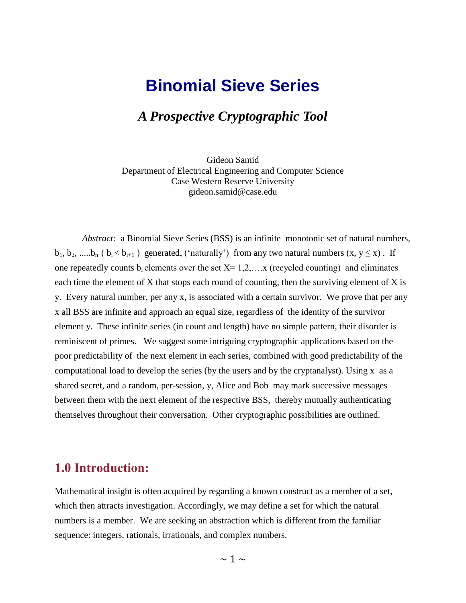# **Binomial Sieve Series**

# *A Prospective Cryptographic Tool*

Gideon Samid Department of Electrical Engineering and Computer Science Case Western Reserve University gideon.samid@case.edu

*Abstract:* a Binomial Sieve Series (BSS) is an infinite monotonic set of natural numbers,  $b_1, b_2, \dots, b_n$  (  $b_i < b_{i+1}$  ) generated, ('naturally') from any two natural numbers  $(x, y \le x)$ . If one repeatedly counts b<sub>i</sub> elements over the set  $X = 1,2,...x$  (recycled counting) and eliminates each time the element of X that stops each round of counting, then the surviving element of X is y. Every natural number, per any x, is associated with a certain survivor. We prove that per any x all BSS are infinite and approach an equal size, regardless of the identity of the survivor element y. These infinite series (in count and length) have no simple pattern, their disorder is reminiscent of primes. We suggest some intriguing cryptographic applications based on the poor predictability of the next element in each series, combined with good predictability of the computational load to develop the series (by the users and by the cryptanalyst). Using x as a shared secret, and a random, per-session, y, Alice and Bob may mark successive messages between them with the next element of the respective BSS, thereby mutually authenticating themselves throughout their conversation. Other cryptographic possibilities are outlined.

# **1.0 Introduction:**

Mathematical insight is often acquired by regarding a known construct as a member of a set, which then attracts investigation. Accordingly, we may define a set for which the natural numbers is a member. We are seeking an abstraction which is different from the familiar sequence: integers, rationals, irrationals, and complex numbers.

 $\sim$  1  $\sim$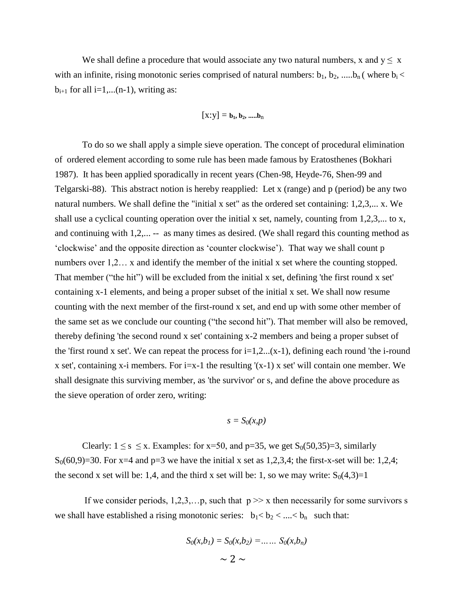We shall define a procedure that would associate any two natural numbers, x and  $y < x$ with an infinite, rising monotonic series comprised of natural numbers:  $b_1$ ,  $b_2$ , ..... $b_n$  (where  $b_i$  <  $b_{i+1}$  for all i=1,...(n-1), writing as:

$$
[\boldsymbol{x}\text{:}\boldsymbol{y}] = \mathbf{b}_1, \mathbf{b}_2,.....\mathbf{b}_n
$$

To do so we shall apply a simple sieve operation. The concept of procedural elimination of ordered element according to some rule has been made famous by Eratosthenes (Bokhari 1987). It has been applied sporadically in recent years (Chen-98, Heyde-76, Shen-99 and Telgarski-88). This abstract notion is hereby reapplied: Let x (range) and p (period) be any two natural numbers. We shall define the "initial x set" as the ordered set containing: 1,2,3,... x. We shall use a cyclical counting operation over the initial x set, namely, counting from  $1,2,3,...$  to x, and continuing with 1,2,... -- as many times as desired. (We shall regard this counting method as "clockwise" and the opposite direction as "counter clockwise"). That way we shall count p numbers over 1,2... x and identify the member of the initial x set where the counting stopped. That member ("the hit") will be excluded from the initial x set, defining 'the first round x set' containing x-1 elements, and being a proper subset of the initial x set. We shall now resume counting with the next member of the first-round x set, and end up with some other member of the same set as we conclude our counting ("the second hit"). That member will also be removed, thereby defining 'the second round x set' containing x-2 members and being a proper subset of the 'first round x set'. We can repeat the process for  $i=1,2...$  (x-1), defining each round 'the *i*-round x set', containing x-i members. For i=x-1 the resulting  $'(x-1)$  x set' will contain one member. We shall designate this surviving member, as 'the survivor' or s, and define the above procedure as the sieve operation of order zero, writing:

$$
s = S_0(x, p)
$$

Clearly:  $1 \leq s \leq x$ . Examples: for x=50, and p=35, we get  $S_0(50,35)=3$ , similarly  $S_0(60,9)=30$ . For x=4 and p=3 we have the initial x set as 1,2,3,4; the first-x-set will be: 1,2,4; the second x set will be: 1,4, and the third x set will be: 1, so we may write:  $S_0(4,3)=1$ 

If we consider periods,  $1,2,3,...p$ , such that  $p \gg x$  then necessarily for some survivors s we shall have established a rising monotonic series:  $b_1 < b_2 < ... < b_n$  such that:

$$
S_0(x, b_1) = S_0(x, b_2) = \dots \dots S_0(x, b_n)
$$

$$
\sim 2 \sim
$$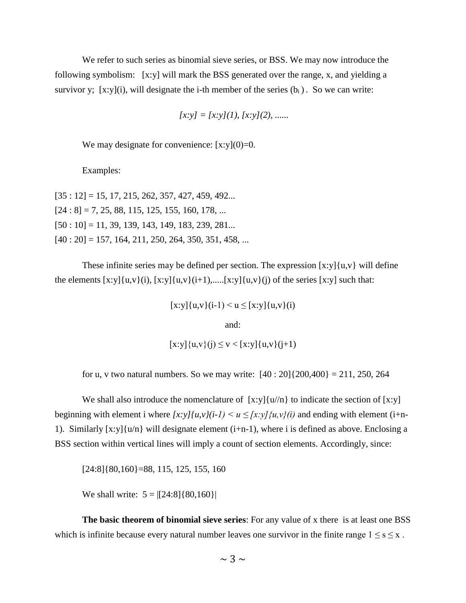We refer to such series as binomial sieve series, or BSS. We may now introduce the following symbolism: [x:y] will mark the BSS generated over the range, x, and yielding a survivor y; [x:y](i), will designate the i-th member of the series  $(b_i)$ . So we can write:

$$
[x:y] = [x:y](1), [x:y](2), \dots
$$

We may designate for convenience:  $[x:y](0)=0$ .

Examples:

 $[35:12] = 15, 17, 215, 262, 357, 427, 459, 492...$  $[24:8] = 7, 25, 88, 115, 125, 155, 160, 178, ...$  $[50:10] = 11, 39, 139, 143, 149, 183, 239, 281...$  $[40:20] = 157, 164, 211, 250, 264, 350, 351, 458, ...$ 

These infinite series may be defined per section. The expression  $[x:y]{u,v}$  will define the elements  $[x:y](u,v)(i)$ ,  $[x:y](u,v)(i+1)$ ,..... $[x:y](u,v)(i)$  of the series  $[x:y]$  such that:

 $[x:y]{u,v}(i-1) < u \leq [x:y]{u,v}(i)$ 

and:

$$
[x:y]\{u,v\}(j) \le v < [x:y]\{u,v\}(j+1)
$$

for u, v two natural numbers. So we may write:  $[40:20]\{200,400\} = 211, 250, 264$ 

We shall also introduce the nomenclature of  $[x:y]{u/n}$  to indicate the section of  $[x:y]$ beginning with element i where  $[x:y]/u, v/(i-1) \le u \le [x:y]/u, v/(i)$  and ending with element (i+n-1). Similarly [x:y]{u/n} will designate element (i+n-1), where i is defined as above. Enclosing a BSS section within vertical lines will imply a count of section elements. Accordingly, since:

[24:8]{80,160}=88, 115, 125, 155, 160

We shall write:  $5 = |[24:8][80,160]|$ 

**The basic theorem of binomial sieve series**: For any value of x there is at least one BSS which is infinite because every natural number leaves one survivor in the finite range  $1 \le s \le x$ .

 $\sim$  3  $\sim$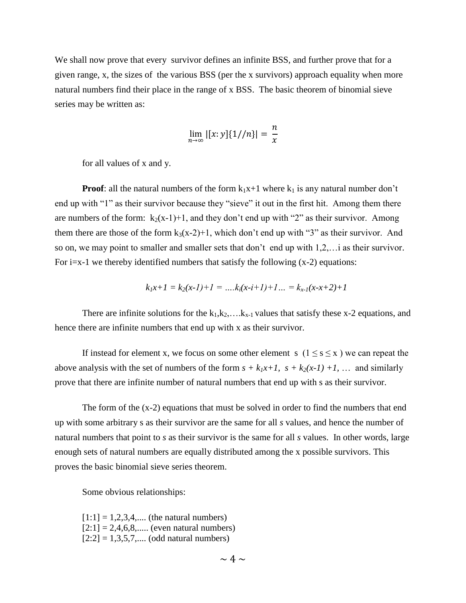We shall now prove that every survivor defines an infinite BSS, and further prove that for a given range, x, the sizes of the various BSS (per the x survivors) approach equality when more natural numbers find their place in the range of x BSS. The basic theorem of binomial sieve series may be written as:

$$
\lim_{n \to \infty} |[x: y]\{1//n\}| = \frac{n}{x}
$$

for all values of x and y.

**Proof**: all the natural numbers of the form  $k_1x+1$  where  $k_1$  is any natural number don't end up with "1" as their survivor because they "sieve" it out in the first hit. Among them there are numbers of the form:  $k_2(x-1)+1$ , and they don't end up with "2" as their survivor. Among them there are those of the form  $k_3(x-2)+1$ , which don't end up with "3" as their survivor. And so on, we may point to smaller and smaller sets that don"t end up with 1,2,…i as their survivor. For  $i=x-1$  we thereby identified numbers that satisfy the following  $(x-2)$  equations:

$$
k_1x+1=k_2(x-1)+1=\ldots k_i(x-i+1)+1\ldots=k_{x-1}(x-x+2)+1
$$

There are infinite solutions for the  $k_1, k_2, \ldots, k_{x-1}$  values that satisfy these x-2 equations, and hence there are infinite numbers that end up with x as their survivor.

If instead for element x, we focus on some other element s  $(1 \le s \le x)$  we can repeat the above analysis with the set of numbers of the form  $s + k_1x+1$ ,  $s + k_2(x-1) +1$ , ... and similarly prove that there are infinite number of natural numbers that end up with s as their survivor.

The form of the (x-2) equations that must be solved in order to find the numbers that end up with some arbitrary s as their survivor are the same for all *s* values, and hence the number of natural numbers that point to *s* as their survivor is the same for all *s* values. In other words, large enough sets of natural numbers are equally distributed among the x possible survivors. This proves the basic binomial sieve series theorem.

Some obvious relationships:

 $[1:1] = 1,2,3,4,...$  (the natural numbers)  $[2:1] = 2,4,6,8,...$  (even natural numbers)  $[2:2] = 1,3,5,7,...$  (odd natural numbers)

 $\sim 4 \sim$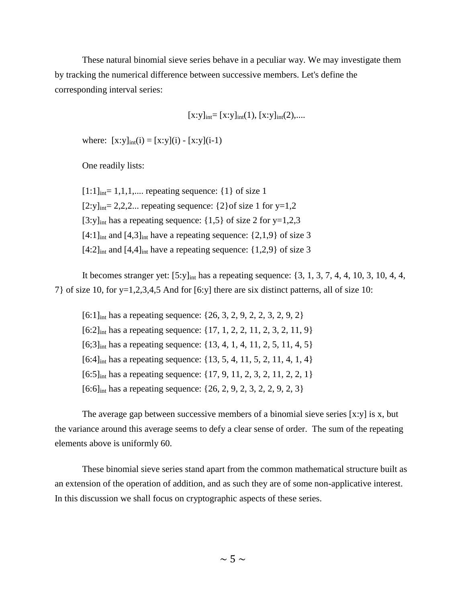These natural binomial sieve series behave in a peculiar way. We may investigate them by tracking the numerical difference between successive members. Let's define the corresponding interval series:

$$
[x:y]_{int}=[x:y]_{int}(1), [x:y]_{int}(2),...
$$

where:  $[x:y]_{int}(i) = [x:y](i) - [x:y](i-1)$ 

One readily lists:

 $[1:1]_{\text{int}}$  = 1,1,1,.... repeating sequence: {1} of size 1  $[2:y]_{int}$ = 2,2,2... repeating sequence: {2}of size 1 for y=1,2 [3:y]<sub>int</sub> has a repeating sequence:  $\{1,5\}$  of size 2 for y=1,2,3  $[4:1]_{\text{int}}$  and  $[4,3]_{\text{int}}$  have a repeating sequence:  $\{2,1,9\}$  of size 3  $[4:2]_{\text{int}}$  and  $[4,4]_{\text{int}}$  have a repeating sequence:  $\{1,2,9\}$  of size 3

It becomes stranger yet: [5:y]int has a repeating sequence: {3, 1, 3, 7, 4, 4, 10, 3, 10, 4, 4, 7} of size 10, for y=1,2,3,4,5 And for [6:y] there are six distinct patterns, all of size 10:

 $[6:1]_{\text{int}}$  has a repeating sequence:  $\{26, 3, 2, 9, 2, 2, 3, 2, 9, 2\}$  $[6:2]_{\text{int}}$  has a repeating sequence:  $\{17, 1, 2, 2, 11, 2, 3, 2, 11, 9\}$  $[6;3]_{\text{int}}$  has a repeating sequence:  $\{13, 4, 1, 4, 11, 2, 5, 11, 4, 5\}$  $[6:4]$ <sub>int</sub> has a repeating sequence:  $\{13, 5, 4, 11, 5, 2, 11, 4, 1, 4\}$  $[6:5]_{\text{int}}$  has a repeating sequence:  $\{17, 9, 11, 2, 3, 2, 11, 2, 2, 1\}$  $[6:6]_{\text{int}}$  has a repeating sequence:  $\{26, 2, 9, 2, 3, 2, 2, 9, 2, 3\}$ 

The average gap between successive members of a binomial sieve series [x:y] is x, but the variance around this average seems to defy a clear sense of order. The sum of the repeating elements above is uniformly 60.

These binomial sieve series stand apart from the common mathematical structure built as an extension of the operation of addition, and as such they are of some non-applicative interest. In this discussion we shall focus on cryptographic aspects of these series.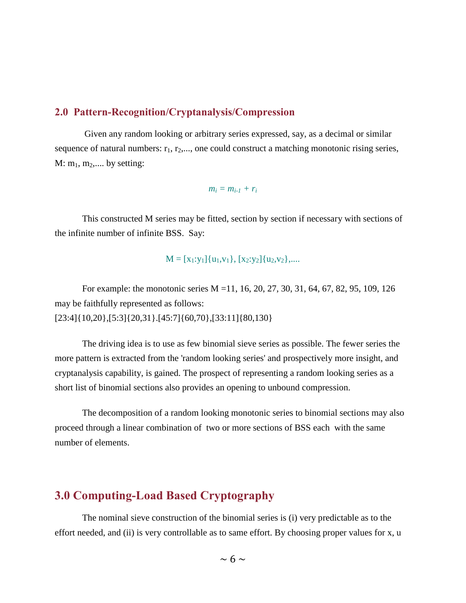# **2.0 Pattern-Recognition/Cryptanalysis/Compression**

Given any random looking or arbitrary series expressed, say, as a decimal or similar sequence of natural numbers:  $r_1, r_2, \ldots$ , one could construct a matching monotonic rising series,  $M: m_1, m_2, \dots$  by setting:

 $m_i = m_{i-1} + r_i$ 

This constructed M series may be fitted, section by section if necessary with sections of the infinite number of infinite BSS. Say:

$$
M=[x_1\text{:}y_1]\{u_1,v_1\},\,[x_2\text{:}y_2]\{u_2,v_2\},....
$$

For example: the monotonic series M =11, 16, 20, 27, 30, 31, 64, 67, 82, 95, 109, 126 may be faithfully represented as follows: [23:4]{10,20},[5:3]{20,31}.[45:7]{60,70},[33:11]{80,130}

The driving idea is to use as few binomial sieve series as possible. The fewer series the more pattern is extracted from the 'random looking series' and prospectively more insight, and cryptanalysis capability, is gained. The prospect of representing a random looking series as a short list of binomial sections also provides an opening to unbound compression.

The decomposition of a random looking monotonic series to binomial sections may also proceed through a linear combination of two or more sections of BSS each with the same number of elements.

# **3.0 Computing-Load Based Cryptography**

The nominal sieve construction of the binomial series is (i) very predictable as to the effort needed, and (ii) is very controllable as to same effort. By choosing proper values for x, u

 $\sim$  6  $\sim$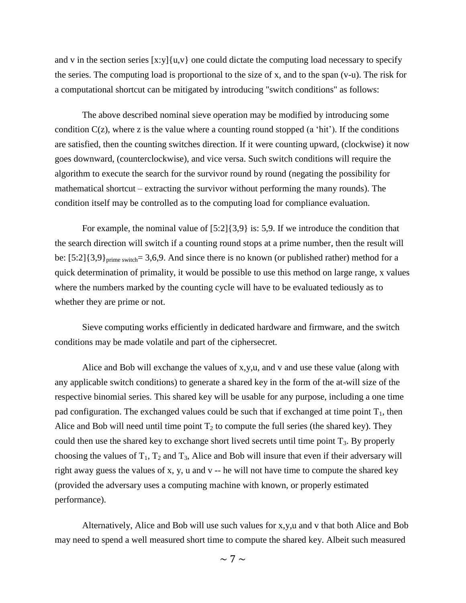and v in the section series  $[x:y](u,v)$  one could dictate the computing load necessary to specify the series. The computing load is proportional to the size of x, and to the span (v-u). The risk for a computational shortcut can be mitigated by introducing "switch conditions" as follows:

The above described nominal sieve operation may be modified by introducing some condition  $C(z)$ , where z is the value where a counting round stopped (a 'hit'). If the conditions are satisfied, then the counting switches direction. If it were counting upward, (clockwise) it now goes downward, (counterclockwise), and vice versa. Such switch conditions will require the algorithm to execute the search for the survivor round by round (negating the possibility for mathematical shortcut – extracting the survivor without performing the many rounds). The condition itself may be controlled as to the computing load for compliance evaluation.

For example, the nominal value of  $[5:2]{3,9}$  is: 5,9. If we introduce the condition that the search direction will switch if a counting round stops at a prime number, then the result will be:  $[5:2]{3,9}$ <sub>prime switch</sub>= 3,6,9. And since there is no known (or published rather) method for a quick determination of primality, it would be possible to use this method on large range, x values where the numbers marked by the counting cycle will have to be evaluated tediously as to whether they are prime or not.

Sieve computing works efficiently in dedicated hardware and firmware, and the switch conditions may be made volatile and part of the ciphersecret.

Alice and Bob will exchange the values of x,y,u, and v and use these value (along with any applicable switch conditions) to generate a shared key in the form of the at-will size of the respective binomial series. This shared key will be usable for any purpose, including a one time pad configuration. The exchanged values could be such that if exchanged at time point  $T_1$ , then Alice and Bob will need until time point  $T_2$  to compute the full series (the shared key). They could then use the shared key to exchange short lived secrets until time point  $T_3$ . By properly choosing the values of  $T_1$ ,  $T_2$  and  $T_3$ , Alice and Bob will insure that even if their adversary will right away guess the values of x, y, u and v -- he will not have time to compute the shared key (provided the adversary uses a computing machine with known, or properly estimated performance).

Alternatively, Alice and Bob will use such values for x,y,u and v that both Alice and Bob may need to spend a well measured short time to compute the shared key. Albeit such measured

 $\sim$  7  $\sim$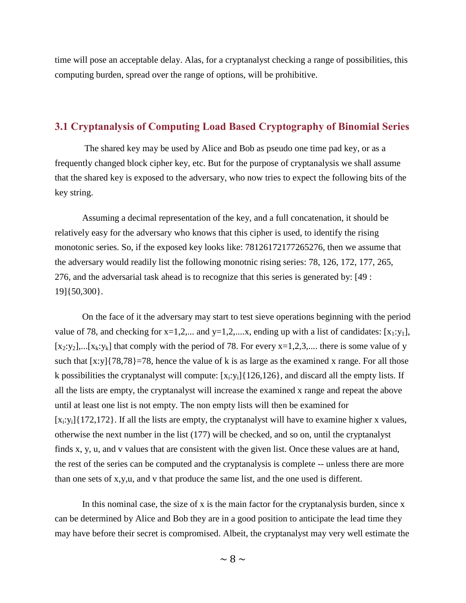time will pose an acceptable delay. Alas, for a cryptanalyst checking a range of possibilities, this computing burden, spread over the range of options, will be prohibitive.

# **3.1 Cryptanalysis of Computing Load Based Cryptography of Binomial Series**

The shared key may be used by Alice and Bob as pseudo one time pad key, or as a frequently changed block cipher key, etc. But for the purpose of cryptanalysis we shall assume that the shared key is exposed to the adversary, who now tries to expect the following bits of the key string.

Assuming a decimal representation of the key, and a full concatenation, it should be relatively easy for the adversary who knows that this cipher is used, to identify the rising monotonic series. So, if the exposed key looks like: 78126172177265276, then we assume that the adversary would readily list the following monotnic rising series: 78, 126, 172, 177, 265, 276, and the adversarial task ahead is to recognize that this series is generated by: [49 : 19]{50,300}.

On the face of it the adversary may start to test sieve operations beginning with the period value of 78, and checking for  $x=1,2,...$  and  $y=1,2,...$  and  $y=1,2,...$  and  $y=1$ , with a list of candidates:  $[x_1:y_1]$ ,  $[x_2:y_2]$ ,... $[x_k:y_k]$  that comply with the period of 78. For every  $x=1,2,3,...$  there is some value of y such that  $[x:y]{78,78}$ =78, hence the value of k is as large as the examined x range. For all those k possibilities the cryptanalyst will compute:  $[x_i:y_i]$  {126,126}, and discard all the empty lists. If all the lists are empty, the cryptanalyst will increase the examined x range and repeat the above until at least one list is not empty. The non empty lists will then be examined for  $[x_i:y_i]$ {172,172}. If all the lists are empty, the cryptanalyst will have to examine higher x values, otherwise the next number in the list (177) will be checked, and so on, until the cryptanalyst finds x, y, u, and v values that are consistent with the given list. Once these values are at hand, the rest of the series can be computed and the cryptanalysis is complete -- unless there are more than one sets of x,y,u, and v that produce the same list, and the one used is different.

In this nominal case, the size of x is the main factor for the cryptanalysis burden, since  $x$ can be determined by Alice and Bob they are in a good position to anticipate the lead time they may have before their secret is compromised. Albeit, the cryptanalyst may very well estimate the

 $\sim$  8  $\sim$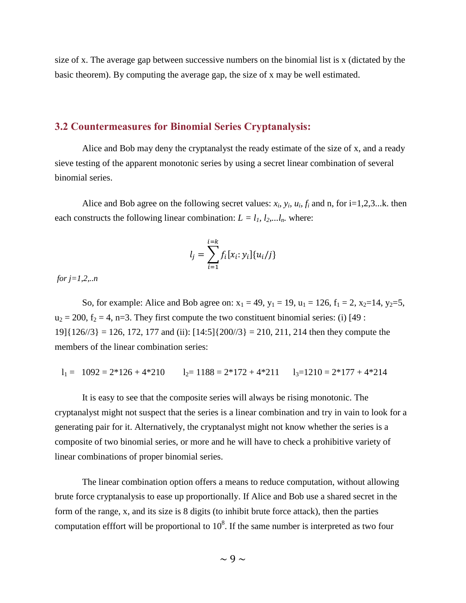size of x. The average gap between successive numbers on the binomial list is x (dictated by the basic theorem). By computing the average gap, the size of x may be well estimated.

### **3.2 Countermeasures for Binomial Series Cryptanalysis:**

Alice and Bob may deny the cryptanalyst the ready estimate of the size of x, and a ready sieve testing of the apparent monotonic series by using a secret linear combination of several binomial series.

Alice and Bob agree on the following secret values:  $x_i$ ,  $y_i$ ,  $u_i$ ,  $f_i$  and n, for i=1,2,3...k. then each constructs the following linear combination:  $L = l_1, l_2, \ldots, l_n$  where:

$$
l_j = \sum_{i=1}^{i=k} f_i[x_i; y_i] \{u_i/j\}
$$

*for j=1,2,..n*

So, for example: Alice and Bob agree on:  $x_1 = 49$ ,  $y_1 = 19$ ,  $u_1 = 126$ ,  $f_1 = 2$ ,  $x_2=14$ ,  $y_2=5$ ,  $u_2 = 200$ ,  $f_2 = 4$ , n=3. They first compute the two constituent binomial series: (i) [49 :  $19$ [ $\{126/3\} = 126$ , 172, 177 and (ii):  $[14:5]$  $\{200/3\} = 210$ , 211, 214 then they compute the members of the linear combination series:

$$
l_1 = 1092 = 2 \cdot 126 + 4 \cdot 210
$$
  $l_2 = 1188 = 2 \cdot 172 + 4 \cdot 211$   $l_3 = 1210 = 2 \cdot 177 + 4 \cdot 214$ 

It is easy to see that the composite series will always be rising monotonic. The cryptanalyst might not suspect that the series is a linear combination and try in vain to look for a generating pair for it. Alternatively, the cryptanalyst might not know whether the series is a composite of two binomial series, or more and he will have to check a prohibitive variety of linear combinations of proper binomial series.

The linear combination option offers a means to reduce computation, without allowing brute force cryptanalysis to ease up proportionally. If Alice and Bob use a shared secret in the form of the range, x, and its size is 8 digits (to inhibit brute force attack), then the parties computation efffort will be proportional to  $10^8$ . If the same number is interpreted as two four

 $\sim$  9  $\sim$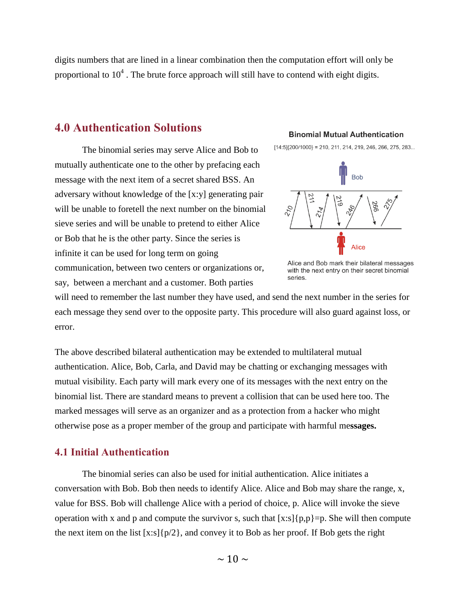digits numbers that are lined in a linear combination then the computation effort will only be proportional to  $10^4$ . The brute force approach will still have to contend with eight digits.

# **4.0 Authentication Solutions**

The binomial series may serve Alice and Bob to mutually authenticate one to the other by prefacing each message with the next item of a secret shared BSS. An adversary without knowledge of the [x:y] generating pair will be unable to foretell the next number on the binomial sieve series and will be unable to pretend to either Alice or Bob that he is the other party. Since the series is infinite it can be used for long term on going communication, between two centers or organizations or, say, between a merchant and a customer. Both parties

#### **Binomial Mutual Authentication**

 $[14:5]\{200/1000\} = 210, 211, 214, 219, 246, 266, 275, 283...$ 



Alice and Bob mark their bilateral messages with the next entry on their secret binomial series.

will need to remember the last number they have used, and send the next number in the series for each message they send over to the opposite party. This procedure will also guard against loss, or error.

The above described bilateral authentication may be extended to multilateral mutual authentication. Alice, Bob, Carla, and David may be chatting or exchanging messages with mutual visibility. Each party will mark every one of its messages with the next entry on the binomial list. There are standard means to prevent a collision that can be used here too. The marked messages will serve as an organizer and as a protection from a hacker who might otherwise pose as a proper member of the group and participate with harmful me**ssages.** 

# **4.1 Initial Authentication**

The binomial series can also be used for initial authentication. Alice initiates a conversation with Bob. Bob then needs to identify Alice. Alice and Bob may share the range, x, value for BSS. Bob will challenge Alice with a period of choice, p. Alice will invoke the sieve operation with x and p and compute the survivor s, such that  $[x:s]\{p,p\}=p$ . She will then compute the next item on the list  $[x:s][p/2]$ , and convey it to Bob as her proof. If Bob gets the right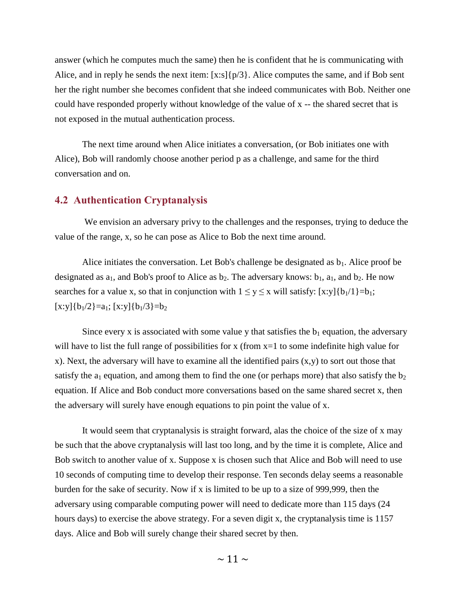answer (which he computes much the same) then he is confident that he is communicating with Alice, and in reply he sends the next item: [x:s]{p/3}. Alice computes the same, and if Bob sent her the right number she becomes confident that she indeed communicates with Bob. Neither one could have responded properly without knowledge of the value of x -- the shared secret that is not exposed in the mutual authentication process.

The next time around when Alice initiates a conversation, (or Bob initiates one with Alice), Bob will randomly choose another period p as a challenge, and same for the third conversation and on.

## **4.2 Authentication Cryptanalysis**

We envision an adversary privy to the challenges and the responses, trying to deduce the value of the range, x, so he can pose as Alice to Bob the next time around.

Alice initiates the conversation. Let Bob's challenge be designated as  $b_1$ . Alice proof be designated as  $a_1$ , and Bob's proof to Alice as  $b_2$ . The adversary knows:  $b_1$ ,  $a_1$ , and  $b_2$ . He now searches for a value x, so that in conjunction with  $1 \le y \le x$  will satisfy: [x:y]{b<sub>1</sub>/1}=b<sub>1</sub>;  $[x:y]{b<sub>1</sub>/2}=a<sub>1</sub>; [x:y]{b<sub>1</sub>/3}=b<sub>2</sub>}$ 

Since every x is associated with some value y that satisfies the  $b_1$  equation, the adversary will have to list the full range of possibilities for x (from  $x=1$  to some indefinite high value for x). Next, the adversary will have to examine all the identified pairs (x,y) to sort out those that satisfy the  $a_1$  equation, and among them to find the one (or perhaps more) that also satisfy the  $b_2$ equation. If Alice and Bob conduct more conversations based on the same shared secret x, then the adversary will surely have enough equations to pin point the value of x.

It would seem that cryptanalysis is straight forward, alas the choice of the size of x may be such that the above cryptanalysis will last too long, and by the time it is complete, Alice and Bob switch to another value of x. Suppose x is chosen such that Alice and Bob will need to use 10 seconds of computing time to develop their response. Ten seconds delay seems a reasonable burden for the sake of security. Now if x is limited to be up to a size of 999,999, then the adversary using comparable computing power will need to dedicate more than 115 days (24 hours days) to exercise the above strategy. For a seven digit x, the cryptanalysis time is 1157 days. Alice and Bob will surely change their shared secret by then.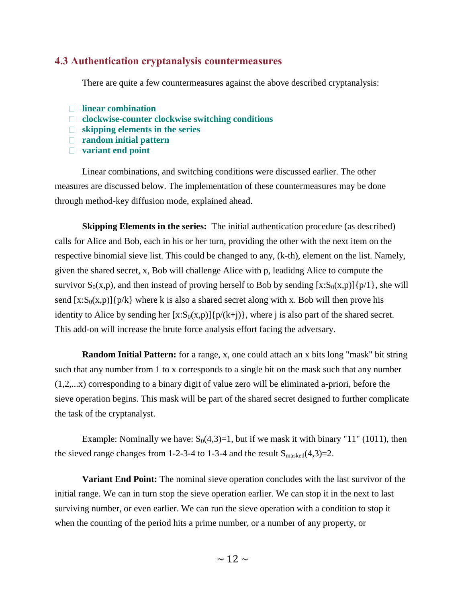### **4.3 Authentication cryptanalysis countermeasures**

There are quite a few countermeasures against the above described cryptanalysis:

- **linear combination**
- **clockwise-counter clockwise switching conditions**
- **skipping elements in the series**
- **random initial pattern**
- **variant end point**

Linear combinations, and switching conditions were discussed earlier. The other measures are discussed below. The implementation of these countermeasures may be done through method-key diffusion mode, explained ahead.

**Skipping Elements in the series:** The initial authentication procedure (as described) calls for Alice and Bob, each in his or her turn, providing the other with the next item on the respective binomial sieve list. This could be changed to any, (k-th), element on the list. Namely, given the shared secret, x, Bob will challenge Alice with p, leadidng Alice to compute the survivor  $S_0(x,p)$ , and then instead of proving herself to Bob by sending  $[x:S_0(x,p)]\{p/1\}$ , she will send  $[x:S_0(x,p)]\{p/k\}$  where k is also a shared secret along with x. Bob will then prove his identity to Alice by sending her  $[x:S_0(x,p)]\{p/(k+j)\}\$ , where j is also part of the shared secret. This add-on will increase the brute force analysis effort facing the adversary.

**Random Initial Pattern:** for a range, x, one could attach an x bits long "mask" bit string such that any number from 1 to x corresponds to a single bit on the mask such that any number (1,2,...x) corresponding to a binary digit of value zero will be eliminated a-priori, before the sieve operation begins. This mask will be part of the shared secret designed to further complicate the task of the cryptanalyst.

Example: Nominally we have:  $S_0(4,3)=1$ , but if we mask it with binary "11" (1011), then the sieved range changes from 1-2-3-4 to 1-3-4 and the result  $S_{\text{masked}}(4,3)=2$ .

**Variant End Point:** The nominal sieve operation concludes with the last survivor of the initial range. We can in turn stop the sieve operation earlier. We can stop it in the next to last surviving number, or even earlier. We can run the sieve operation with a condition to stop it when the counting of the period hits a prime number, or a number of any property, or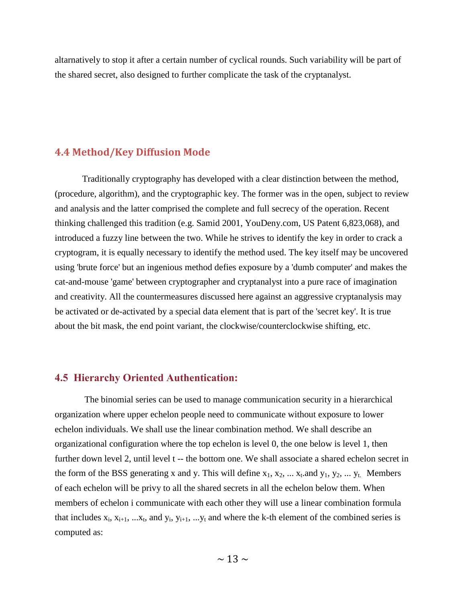altarnatively to stop it after a certain number of cyclical rounds. Such variability will be part of the shared secret, also designed to further complicate the task of the cryptanalyst.

# **4.4 Method/Key Diffusion Mode**

Traditionally cryptography has developed with a clear distinction between the method, (procedure, algorithm), and the cryptographic key. The former was in the open, subject to review and analysis and the latter comprised the complete and full secrecy of the operation. Recent thinking challenged this tradition (e.g. Samid 2001, YouDeny.com, US Patent 6,823,068), and introduced a fuzzy line between the two. While he strives to identify the key in order to crack a cryptogram, it is equally necessary to identify the method used. The key itself may be uncovered using 'brute force' but an ingenious method defies exposure by a 'dumb computer' and makes the cat-and-mouse 'game' between cryptographer and cryptanalyst into a pure race of imagination and creativity. All the countermeasures discussed here against an aggressive cryptanalysis may be activated or de-activated by a special data element that is part of the 'secret key'. It is true about the bit mask, the end point variant, the clockwise/counterclockwise shifting, etc.

# **4.5 Hierarchy Oriented Authentication:**

The binomial series can be used to manage communication security in a hierarchical organization where upper echelon people need to communicate without exposure to lower echelon individuals. We shall use the linear combination method. We shall describe an organizational configuration where the top echelon is level 0, the one below is level 1, then further down level 2, until level t -- the bottom one. We shall associate a shared echelon secret in the form of the BSS generating x and y. This will define  $x_1, x_2, \dots x_t$  and  $y_1, y_2, \dots y_t$ . Members of each echelon will be privy to all the shared secrets in all the echelon below them. When members of echelon i communicate with each other they will use a linear combination formula that includes  $x_i$ ,  $x_{i+1}$ , ... $x_t$ , and  $y_i$ ,  $y_{i+1}$ , ... $y_t$  and where the k-th element of the combined series is computed as: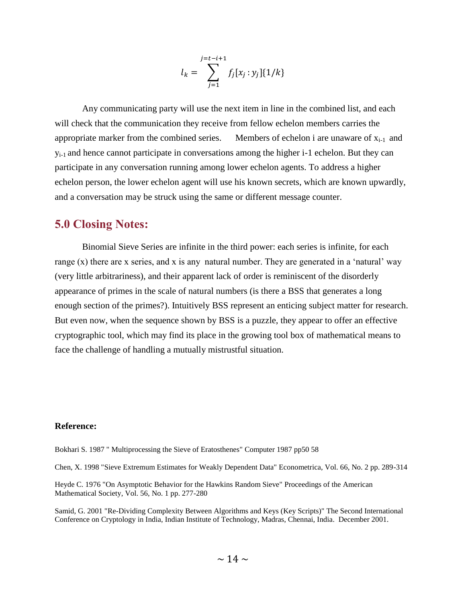$$
l_k = \sum_{j=1}^{j=t-i+1} f_j[x_j : y_j] \{1/k\}
$$

Any communicating party will use the next item in line in the combined list, and each will check that the communication they receive from fellow echelon members carries the appropriate marker from the combined series. Members of echelon i are unaware of  $x_{i-1}$  and yi-1 and hence cannot participate in conversations among the higher i-1 echelon. But they can participate in any conversation running among lower echelon agents. To address a higher echelon person, the lower echelon agent will use his known secrets, which are known upwardly, and a conversation may be struck using the same or different message counter.

# **5.0 Closing Notes:**

Binomial Sieve Series are infinite in the third power: each series is infinite, for each range (x) there are x series, and x is any natural number. They are generated in a 'natural' way (very little arbitrariness), and their apparent lack of order is reminiscent of the disorderly appearance of primes in the scale of natural numbers (is there a BSS that generates a long enough section of the primes?). Intuitively BSS represent an enticing subject matter for research. But even now, when the sequence shown by BSS is a puzzle, they appear to offer an effective cryptographic tool, which may find its place in the growing tool box of mathematical means to face the challenge of handling a mutually mistrustful situation.

### **Reference:**

Bokhari S. 1987 " Multiprocessing the Sieve of Eratosthenes" Computer 1987 pp50 58

Chen, X. 1998 "Sieve Extremum Estimates for Weakly Dependent Data" Econometrica, Vol. 66, No. 2 pp. 289-314

Heyde C. 1976 "On Asymptotic Behavior for the Hawkins Random Sieve" Proceedings of the American Mathematical Society, Vol. 56, No. 1 pp. 277-280

Samid, G. 2001 "Re-Dividing Complexity Between Algorithms and Keys (Key Scripts)" The Second International Conference on Cryptology in India, Indian Institute of Technology, Madras, Chennai, India. December 2001.